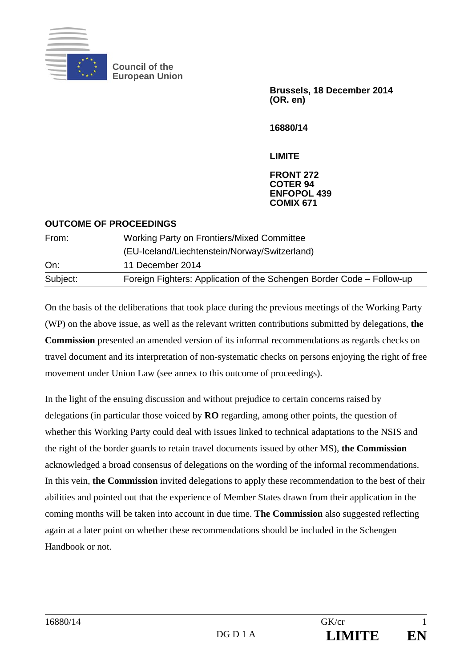

**Council of the European Union** 

> **Brussels, 18 December 2014 (OR. en)**

**16880/14** 

**LIMITE** 

## **FRONT 272 COTER 94 ENFOPOL 439 COMIX 671**

| <b>OUTCOME OF PROCEEDINGS</b> |                                                                       |
|-------------------------------|-----------------------------------------------------------------------|
| From:                         | <b>Working Party on Frontiers/Mixed Committee</b>                     |
|                               | (EU-Iceland/Liechtenstein/Norway/Switzerland)                         |
| On:                           | 11 December 2014                                                      |
| Subject:                      | Foreign Fighters: Application of the Schengen Border Code – Follow-up |

On the basis of the deliberations that took place during the previous meetings of the Working Party (WP) on the above issue, as well as the relevant written contributions submitted by delegations, **the Commission** presented an amended version of its informal recommendations as regards checks on travel document and its interpretation of non-systematic checks on persons enjoying the right of free movement under Union Law (see annex to this outcome of proceedings).

In the light of the ensuing discussion and without prejudice to certain concerns raised by delegations (in particular those voiced by **RO** regarding, among other points, the question of whether this Working Party could deal with issues linked to technical adaptations to the NSIS and the right of the border guards to retain travel documents issued by other MS), **the Commission** acknowledged a broad consensus of delegations on the wording of the informal recommendations. In this vein, **the Commission** invited delegations to apply these recommendation to the best of their abilities and pointed out that the experience of Member States drawn from their application in the coming months will be taken into account in due time. **The Commission** also suggested reflecting again at a later point on whether these recommendations should be included in the Schengen Handbook or not.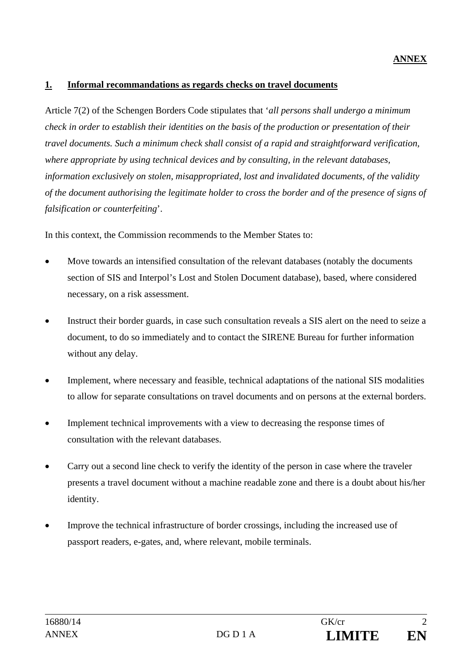## **ANNEX**

## **1. Informal recommandations as regards checks on travel documents**

Article 7(2) of the Schengen Borders Code stipulates that '*all persons shall undergo a minimum check in order to establish their identities on the basis of the production or presentation of their travel documents. Such a minimum check shall consist of a rapid and straightforward verification, where appropriate by using technical devices and by consulting, in the relevant databases, information exclusively on stolen, misappropriated, lost and invalidated documents, of the validity of the document authorising the legitimate holder to cross the border and of the presence of signs of falsification or counterfeiting*'.

In this context, the Commission recommends to the Member States to:

- Move towards an intensified consultation of the relevant databases (notably the documents section of SIS and Interpol's Lost and Stolen Document database), based, where considered necessary, on a risk assessment.
- Instruct their border guards, in case such consultation reveals a SIS alert on the need to seize a document, to do so immediately and to contact the SIRENE Bureau for further information without any delay.
- Implement, where necessary and feasible, technical adaptations of the national SIS modalities to allow for separate consultations on travel documents and on persons at the external borders.
- Implement technical improvements with a view to decreasing the response times of consultation with the relevant databases.
- Carry out a second line check to verify the identity of the person in case where the traveler presents a travel document without a machine readable zone and there is a doubt about his/her identity.
- Improve the technical infrastructure of border crossings, including the increased use of passport readers, e-gates, and, where relevant, mobile terminals.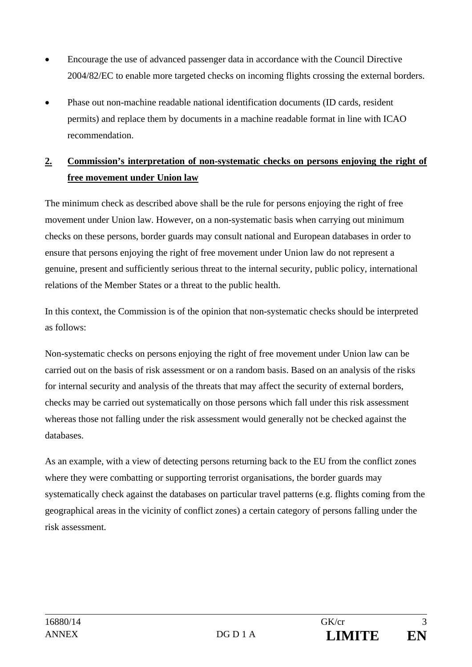- Encourage the use of advanced passenger data in accordance with the Council Directive 2004/82/EC to enable more targeted checks on incoming flights crossing the external borders.
- Phase out non-machine readable national identification documents (ID cards, resident permits) and replace them by documents in a machine readable format in line with ICAO recommendation.

## **2. Commission's interpretation of non-systematic checks on persons enjoying the right of free movement under Union law**

The minimum check as described above shall be the rule for persons enjoying the right of free movement under Union law. However, on a non-systematic basis when carrying out minimum checks on these persons, border guards may consult national and European databases in order to ensure that persons enjoying the right of free movement under Union law do not represent a genuine, present and sufficiently serious threat to the internal security, public policy, international relations of the Member States or a threat to the public health.

In this context, the Commission is of the opinion that non-systematic checks should be interpreted as follows:

Non-systematic checks on persons enjoying the right of free movement under Union law can be carried out on the basis of risk assessment or on a random basis. Based on an analysis of the risks for internal security and analysis of the threats that may affect the security of external borders, checks may be carried out systematically on those persons which fall under this risk assessment whereas those not falling under the risk assessment would generally not be checked against the databases.

As an example, with a view of detecting persons returning back to the EU from the conflict zones where they were combatting or supporting terrorist organisations, the border guards may systematically check against the databases on particular travel patterns (e.g. flights coming from the geographical areas in the vicinity of conflict zones) a certain category of persons falling under the risk assessment.